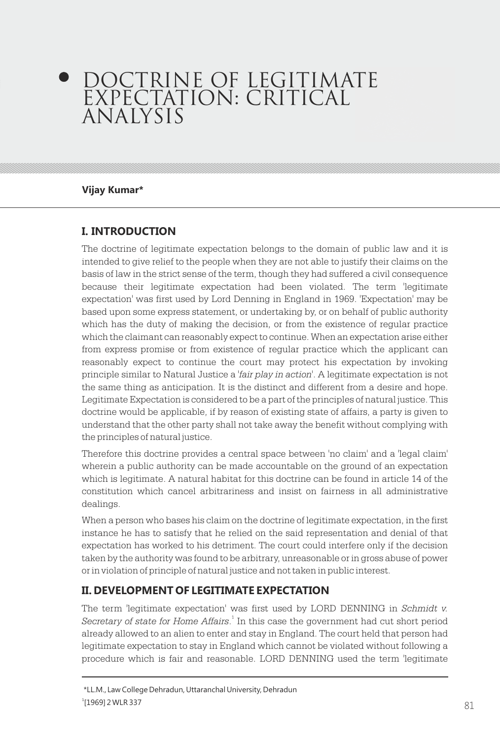# DOCTRINE OF LEGITIMATE EXPECTATION: CRITICAL ANALYSIS

#### **Vijay Kumar\***

## **I. INTRODUCTION**

The doctrine of legitimate expectation belongs to the domain of public law and it is intended to give relief to the people when they are not able to justify their claims on the basis of law in the strict sense of the term, though they had suffered a civil consequence because their legitimate expectation had been violated. The term 'legitimate expectation' was first used by Lord Denning in England in 1969. 'Expectation' may be based upon some express statement, or undertaking by, or on behalf of public authority which has the duty of making the decision, or from the existence of regular practice which the claimant can reasonably expect to continue. When an expectation arise either from express promise or from existence of regular practice which the applicant can reasonably expect to continue the court may protect his expectation by invoking principle similar to Natural Justice a '*fair play in action'*. A legitimate expectation is not the same thing as anticipation. It is the distinct and different from a desire and hope. Legitimate Expectation is considered to be a part of the principles of natural justice. This doctrine would be applicable, if by reason of existing state of affairs, a party is given to understand that the other party shall not take away the benefit without complying with the principles of natural justice.

Therefore this doctrine provides a central space between 'no claim' and a 'legal claim' wherein a public authority can be made accountable on the ground of an expectation which is legitimate. A natural habitat for this doctrine can be found in article 14 of the constitution which cancel arbitrariness and insist on fairness in all administrative dealings.

When a person who bases his claim on the doctrine of legitimate expectation, in the first instance he has to satisfy that he relied on the said representation and denial of that expectation has worked to his detriment. The court could interfere only if the decision taken by the authority was found to be arbitrary, unreasonable or in gross abuse of power or in violation of principle of natural justice and not taken in public interest.

#### **II. DEVELOPMENT OF LEGITIMATE EXPECTATION**

The term 'legitimate expectation' was first used by LORD DENNING in *Schmidt v.*  Secretary of state for Home Affairs.<sup>1</sup> In this case the government had cut short period already allowed to an alien to enter and stay in England. The court held that person had legitimate expectation to stay in England which cannot be violated without following a procedure which is fair and reasonable. LORD DENNING used the term 'legitimate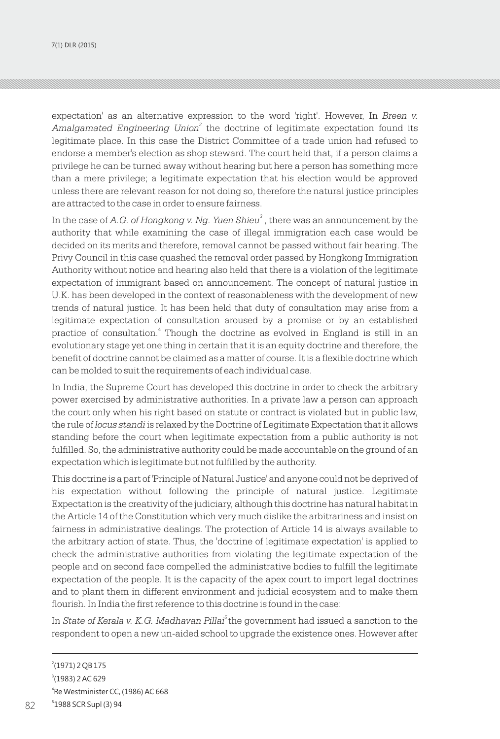7(1) DLR (2015)

expectation' as an alternative expression to the word 'right'. However, In *Breen v. Amalgamated Engineering Union*<sup>2</sup> the doctrine of legitimate expectation found its legitimate place. In this case the District Committee of a trade union had refused to endorse a member's election as shop steward. The court held that, if a person claims a privilege he can be turned away without hearing but here a person has something more than a mere privilege; a legitimate expectation that his election would be approved unless there are relevant reason for not doing so, therefore the natural justice principles are attracted to the case in order to ensure fairness.

In the case of *A.G. of Hongkong v. Ng. Yuen Shieu<sup>3</sup>* , there was an announcement by the authority that while examining the case of illegal immigration each case would be decided on its merits and therefore, removal cannot be passed without fair hearing. The Privy Council in this case quashed the removal order passed by Hongkong Immigration Authority without notice and hearing also held that there is a violation of the legitimate expectation of immigrant based on announcement. The concept of natural justice in U.K. has been developed in the context of reasonableness with the development of new trends of natural justice. It has been held that duty of consultation may arise from a legitimate expectation of consultation aroused by a promise or by an established practice of consultation.<sup>4</sup> Though the doctrine as evolved in England is still in an evolutionary stage yet one thing in certain that it is an equity doctrine and therefore, the benefit of doctrine cannot be claimed as a matter of course. It is a flexible doctrine which can be molded to suit the requirements of each individual case.

In India, the Supreme Court has developed this doctrine in order to check the arbitrary power exercised by administrative authorities. In a private law a person can approach the court only when his right based on statute or contract is violated but in public law, the rule of *locus standi* is relaxed by the Doctrine of Legitimate Expectation that it allows standing before the court when legitimate expectation from a public authority is not fulfilled. So, the administrative authority could be made accountable on the ground of an expectation which is legitimate but not fulfilled by the authority.

This doctrine is a part of 'Principle of Natural Justice' and anyone could not be deprived of his expectation without following the principle of natural justice. Legitimate Expectation is the creativity of the judiciary, although this doctrine has natural habitat in the Article 14 of the Constitution which very much dislike the arbitrariness and insist on fairness in administrative dealings. The protection of Article 14 is always available to the arbitrary action of state. Thus, the 'doctrine of legitimate expectation' is applied to check the administrative authorities from violating the legitimate expectation of the people and on second face compelled the administrative bodies to fulfill the legitimate expectation of the people. It is the capacity of the apex court to import legal doctrines and to plant them in different environment and judicial ecosystem and to make them flourish. In India the first reference to this doctrine is found in the case:

*5* In *State of Kerala v. K.G. Madhavan Pillai* the government had issued a sanction to the respondent to open a new un-aided school to upgrade the existence ones. However after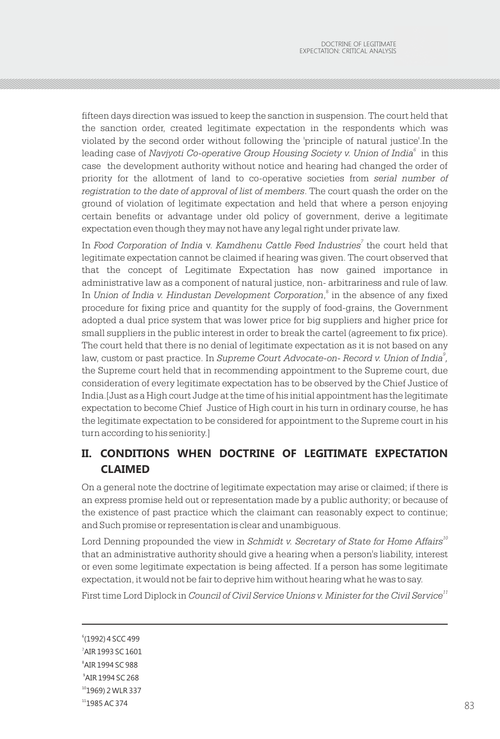fifteen days direction was issued to keep the sanction in suspension. The court held that the sanction order, created legitimate expectation in the respondents which was violated by the second order without following the 'principle of natural justice'.In the leading case of *Navjyoti Co-operative Group Housing Society v. Union of India* $^{\circ}\,$  *in this* case the development authority without notice and hearing had changed the order of priority for the allotment of land to co-operative societies from *serial number of registration to the date of approval of list of members*. The court quash the order on the ground of violation of legitimate expectation and held that where a person enjoying certain benefits or advantage under old policy of government, derive a legitimate expectation even though they may not have any legal right under private law.

*7* In *Food Corporation of India* v. *Kamdhenu Cattle Feed Industries* the court held that legitimate expectation cannot be claimed if hearing was given. The court observed that that the concept of Legitimate Expectation has now gained importance in administrative law as a component of natural justice, non- arbitrariness and rule of law. In *Union of India v. Hindustan Development Corporation*,<sup>8</sup> in the absence of any fixed procedure for fixing price and quantity for the supply of food-grains, the Government adopted a dual price system that was lower price for big suppliers and higher price for small suppliers in the public interest in order to break the cartel (agreement to fix price). The court held that there is no denial of legitimate expectation as it is not based on any *9* law, custom or past practice. In *Supreme Court Advocate-on- Record v. Union of India ,* the Supreme court held that in recommending appointment to the Supreme court, due consideration of every legitimate expectation has to be observed by the Chief Justice of India.[Just as a High court Judge at the time of his initial appointment has the legitimate expectation to become Chief Justice of High court in his turn in ordinary course, he has the legitimate expectation to be considered for appointment to the Supreme court in his turn according to his seniority.]

## **II. CONDITIONS WHEN DOCTRINE OF LEGITIMATE EXPECTATION CLAIMED**

On a general note the doctrine of legitimate expectation may arise or claimed; if there is an express promise held out or representation made by a public authority; or because of the existence of past practice which the claimant can reasonably expect to continue; and Such promise or representation is clear and unambiguous.

Lord Denning propounded the view in *Schmidt v. Secretary of State for Home Affairs*<sup>10</sup> that an administrative authority should give a hearing when a person's liability, interest or even some legitimate expectation is being affected. If a person has some legitimate expectation, it would not be fair to deprive him without hearing what he was to say.

*<sup>11</sup>* First time Lord Diplock in *Council of Civil Service Unions v. Minister for the Civil Service*

 (1992) 4 SCC 499 AIR 1993 SC 1601 AIR 1994 SC 988 AIR 1994 SC 268 1969) 2 WLR 337 1985 AC 374  $1985 \text{ AC } 374$  83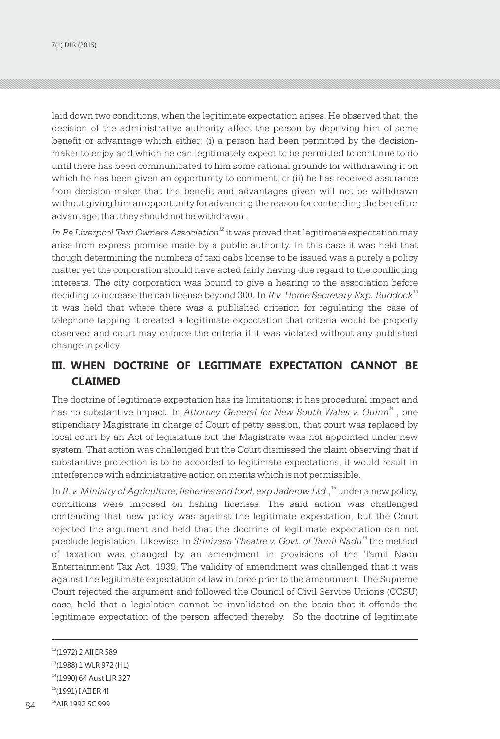laid down two conditions, when the legitimate expectation arises. He observed that, the decision of the administrative authority affect the person by depriving him of some benefit or advantage which either; (i) a person had been permitted by the decisionmaker to enjoy and which he can legitimately expect to be permitted to continue to do until there has been communicated to him some rational grounds for withdrawing it on which he has been given an opportunity to comment; or (ii) he has received assurance from decision-maker that the benefit and advantages given will not be withdrawn without giving him an opportunity for advancing the reason for contending the benefit or advantage, that they should not be withdrawn.

In Re Liverpool Taxi Owners Association<sup>12</sup> it was proved that legitimate expectation may arise from express promise made by a public authority. In this case it was held that though determining the numbers of taxi cabs license to be issued was a purely a policy matter yet the corporation should have acted fairly having due regard to the conflicting interests. The city corporation was bound to give a hearing to the association before *<sup>13</sup>* deciding to increase the cab license beyond 300. In *R v. Home Secretary Exp. Ruddock* it was held that where there was a published criterion for regulating the case of telephone tapping it created a legitimate expectation that criteria would be properly observed and court may enforce the criteria if it was violated without any published change in policy.

## **III. WHEN DOCTRINE OF LEGITIMATE EXPECTATION CANNOT BE CLAIMED**

The doctrine of legitimate expectation has its limitations; it has procedural impact and has no substantive impact. In *Attorney General for New South Wales v. Quinn*<sup>14</sup>, one stipendiary Magistrate in charge of Court of petty session, that court was replaced by local court by an Act of legislature but the Magistrate was not appointed under new system. That action was challenged but the Court dismissed the claim observing that if substantive protection is to be accorded to legitimate expectations, it would result in interference with administrative action on merits which is not permissible.

In *R. v. Ministry of Agriculture, fisheries and food, exp Jaderow Ltd.,* <sup>15</sup> under a new policy, conditions were imposed on fishing licenses. The said action was challenged contending that new policy was against the legitimate expectation, but the Court rejected the argument and held that the doctrine of legitimate expectation can not preclude legislation. Likewise, in *Srinivasa Theatre v. Govt. of Tamil Nadu<sup>16</sup> the method* of taxation was changed by an amendment in provisions of the Tamil Nadu Entertainment Tax Act, 1939. The validity of amendment was challenged that it was against the legitimate expectation of law in force prior to the amendment. The Supreme Court rejected the argument and followed the Council of Civil Service Unions (CCSU) case, held that a legislation cannot be invalidated on the basis that it offends the legitimate expectation of the person affected thereby. So the doctrine of legitimate

<sup>&</sup>lt;sup>12</sup>(1972) 2 AII ER 589

<sup>13</sup>(1988) 1 WLR 972 (HL)

<sup>14</sup>(1990) 64 Aust LJR 327

<sup>15</sup>(1991) I AII ER 4I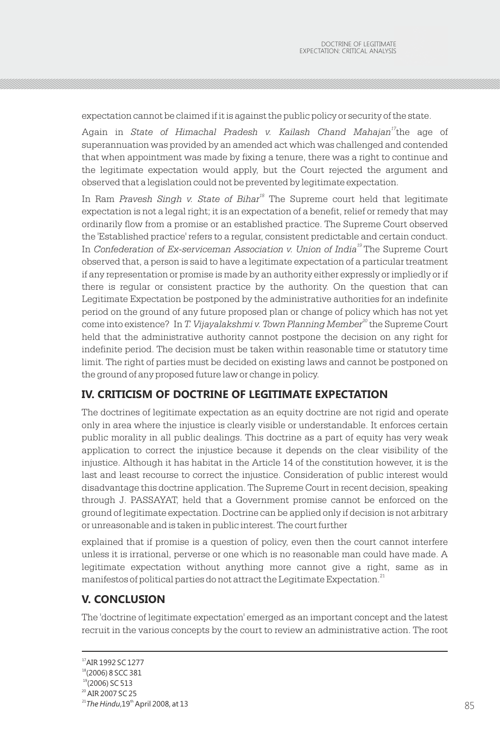expectation cannot be claimed if it is against the public policy or security of the state.

Again in *State of Himachal Pradesh v. Kailash Chand Mahajan<sup>17</sup>the age of* superannuation was provided by an amended act which was challenged and contended that when appointment was made by fixing a tenure, there was a right to continue and the legitimate expectation would apply, but the Court rejected the argument and observed that a legislation could not be prevented by legitimate expectation.

In Ram *Pravesh Singh v. State of Bihar*<sup>18</sup> The Supreme court held that legitimate expectation is not a legal right; it is an expectation of a benefit, relief or remedy that may ordinarily flow from a promise or an established practice. The Supreme Court observed the 'Established practice' refers to a regular, consistent predictable and certain conduct. In *Confederation of Ex-serviceman Association v. Union of India*<sup>19</sup> The Supreme Court observed that, a person is said to have a legitimate expectation of a particular treatment if any representation or promise is made by an authority either expressly or impliedly or if there is regular or consistent practice by the authority. On the question that can Legitimate Expectation be postponed by the administrative authorities for an indefinite period on the ground of any future proposed plan or change of policy which has not yet come into existence? In *T. Vijayalakshmi v. Town Planning Member<sup>20</sup> the Supreme Court* held that the administrative authority cannot postpone the decision on any right for indefinite period. The decision must be taken within reasonable time or statutory time limit. The right of parties must be decided on existing laws and cannot be postponed on the ground of any proposed future law or change in policy.

#### **IV. CRITICISM OF DOCTRINE OF LEGITIMATE EXPECTATION**

The doctrines of legitimate expectation as an equity doctrine are not rigid and operate only in area where the injustice is clearly visible or understandable. It enforces certain public morality in all public dealings. This doctrine as a part of equity has very weak application to correct the injustice because it depends on the clear visibility of the injustice. Although it has habitat in the Article 14 of the constitution however, it is the last and least recourse to correct the injustice. Consideration of public interest would disadvantage this doctrine application. The Supreme Court in recent decision, speaking through J. PASSAYAT, held that a Government promise cannot be enforced on the ground of legitimate expectation. Doctrine can be applied only if decision is not arbitrary or unreasonable and is taken in public interest. The court further

explained that if promise is a question of policy, even then the court cannot interfere unless it is irrational, perverse or one which is no reasonable man could have made. A legitimate expectation without anything more cannot give a right, same as in manifestos of political parties do not attract the Legitimate Expectation.<sup>21</sup>

#### **V. CONCLUSION**

The 'doctrine of legitimate expectation' emerged as an important concept and the latest recruit in the various concepts by the court to review an administrative action. The root

<sup>17</sup>AIR 1992 SC 1277

<sup>18</sup>(2006) 8 SCC 381

 $19$ (2006) SC 513

<sup>&</sup>lt;sup>20</sup> AIR 2007 SC 25

<sup>&</sup>lt;sup>21</sup> The Hindu, 19<sup>th</sup> April 2008, at 13  $\lq$ The Hindu,19" April 2008, at 13  $\lq$